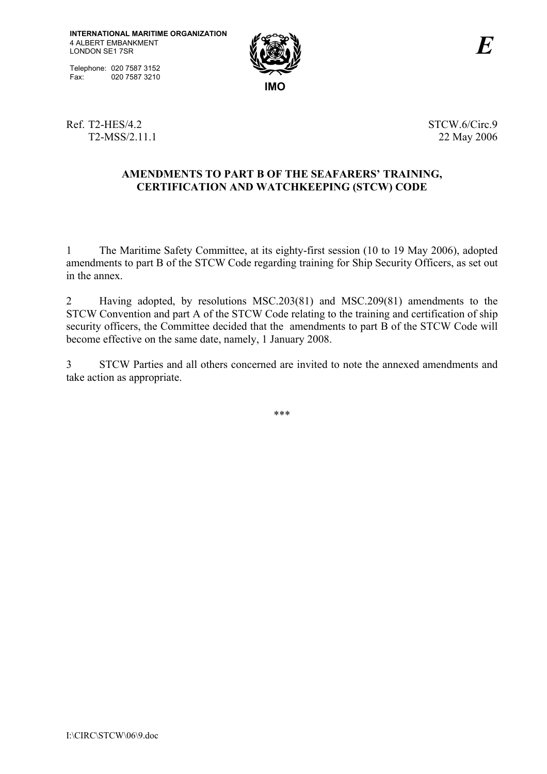Telephone: 020 7587 3152<br>Fax: 020 7587 3210 020 7587 3210



Ref. T2-HES/4.2 STCW.6/Circ.9 T2-MSS/2.11.1 22 May 2006

# AMENDMENTS TO PART B OF THE SEAFARERS' TRAINING, **CERTIFICATION AND WATCHKEEPING (STCW) CODE**

1 The Maritime Safety Committee, at its eighty-first session (10 to 19 May 2006), adopted amendments to part B of the STCW Code regarding training for Ship Security Officers, as set out in the annex.

2 Having adopted, by resolutions MSC.203(81) and MSC.209(81) amendments to the STCW Convention and part A of the STCW Code relating to the training and certification of ship security officers, the Committee decided that the amendments to part B of the STCW Code will become effective on the same date, namely, 1 January 2008.

3 STCW Parties and all others concerned are invited to note the annexed amendments and take action as appropriate.

\*\*\*